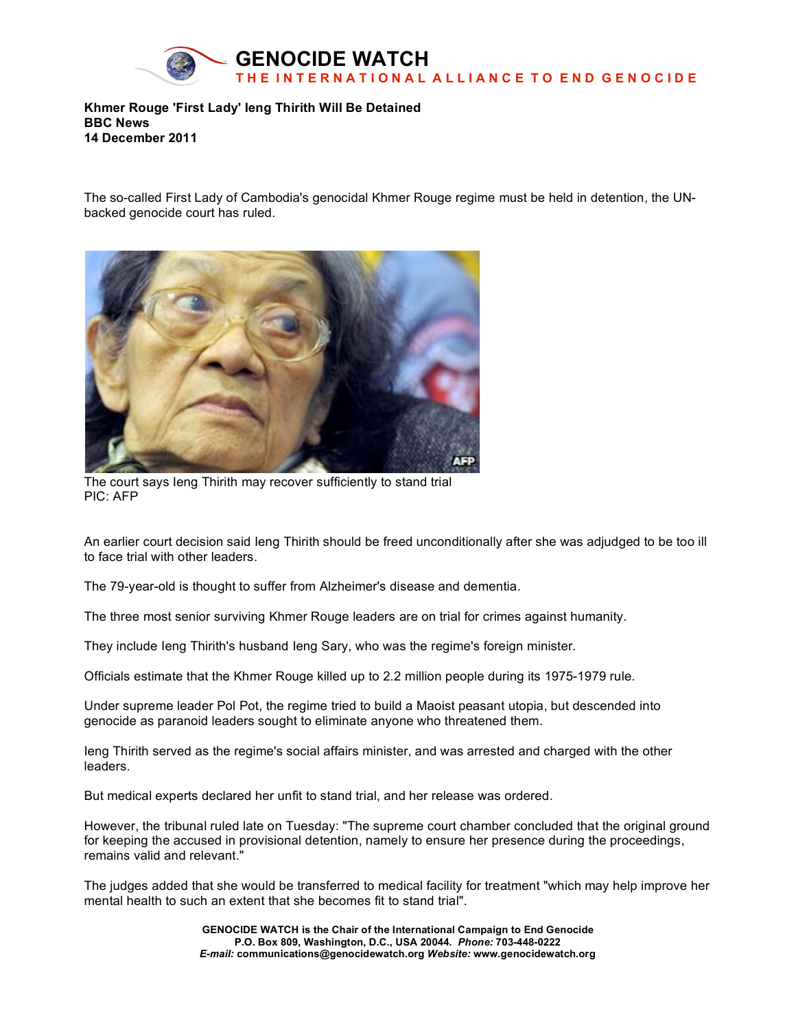

**Khmer Rouge 'First Lady' Ieng Thirith Will Be Detained BBC News 14 December 2011**

The so-called First Lady of Cambodia's genocidal Khmer Rouge regime must be held in detention, the UNbacked genocide court has ruled.



The court says Ieng Thirith may recover sufficiently to stand trial PIC: AFP

An earlier court decision said Ieng Thirith should be freed unconditionally after she was adjudged to be too ill to face trial with other leaders.

The 79-year-old is thought to suffer from Alzheimer's disease and dementia.

The three most senior surviving Khmer Rouge leaders are on trial for crimes against humanity.

They include Ieng Thirith's husband Ieng Sary, who was the regime's foreign minister.

Officials estimate that the Khmer Rouge killed up to 2.2 million people during its 1975-1979 rule.

Under supreme leader Pol Pot, the regime tried to build a Maoist peasant utopia, but descended into genocide as paranoid leaders sought to eliminate anyone who threatened them.

Ieng Thirith served as the regime's social affairs minister, and was arrested and charged with the other leaders.

But medical experts declared her unfit to stand trial, and her release was ordered.

However, the tribunal ruled late on Tuesday: "The supreme court chamber concluded that the original ground for keeping the accused in provisional detention, namely to ensure her presence during the proceedings, remains valid and relevant."

The judges added that she would be transferred to medical facility for treatment "which may help improve her mental health to such an extent that she becomes fit to stand trial".

> **GENOCIDE WATCH is the Chair of the International Campaign to End Genocide P.O. Box 809, Washington, D.C., USA 20044***. Phone:* **703-448-0222** *E-mail:* **communications@genocidewatch.org** *Website:* **www.genocidewatch.org**